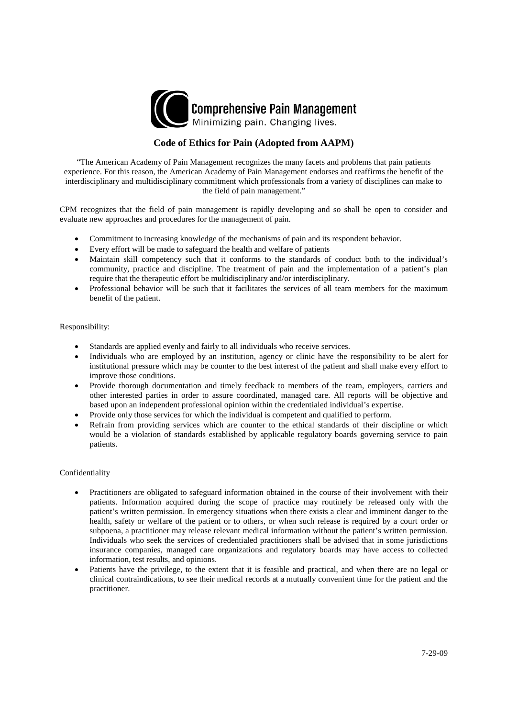

# **Code of Ethics for Pain (Adopted from AAPM)**

"The American Academy of Pain Management recognizes the many facets and problems that pain patients experience. For this reason, the American Academy of Pain Management endorses and reaffirms the benefit of the interdisciplinary and multidisciplinary commitment which professionals from a variety of disciplines can make to the field of pain management."

CPM recognizes that the field of pain management is rapidly developing and so shall be open to consider and evaluate new approaches and procedures for the management of pain.

- Commitment to increasing knowledge of the mechanisms of pain and its respondent behavior.
- Every effort will be made to safeguard the health and welfare of patients
- Maintain skill competency such that it conforms to the standards of conduct both to the individual's community, practice and discipline. The treatment of pain and the implementation of a patient's plan require that the therapeutic effort be multidisciplinary and/or interdisciplinary.
- Professional behavior will be such that it facilitates the services of all team members for the maximum benefit of the patient.

# Responsibility:

- Standards are applied evenly and fairly to all individuals who receive services.
- Individuals who are employed by an institution, agency or clinic have the responsibility to be alert for institutional pressure which may be counter to the best interest of the patient and shall make every effort to improve those conditions.
- Provide thorough documentation and timely feedback to members of the team, employers, carriers and other interested parties in order to assure coordinated, managed care. All reports will be objective and based upon an independent professional opinion within the credentialed individual's expertise.
- Provide only those services for which the individual is competent and qualified to perform.
- Refrain from providing services which are counter to the ethical standards of their discipline or which would be a violation of standards established by applicable regulatory boards governing service to pain patients.

# Confidentiality

- Practitioners are obligated to safeguard information obtained in the course of their involvement with their patients. Information acquired during the scope of practice may routinely be released only with the patient's written permission. In emergency situations when there exists a clear and imminent danger to the health, safety or welfare of the patient or to others, or when such release is required by a court order or subpoena, a practitioner may release relevant medical information without the patient's written permission. Individuals who seek the services of credentialed practitioners shall be advised that in some jurisdictions insurance companies, managed care organizations and regulatory boards may have access to collected information, test results, and opinions.
- Patients have the privilege, to the extent that it is feasible and practical, and when there are no legal or clinical contraindications, to see their medical records at a mutually convenient time for the patient and the practitioner.